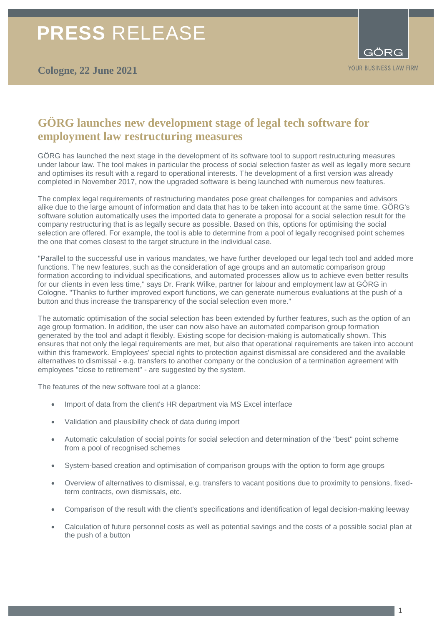# **PRESS** RELEASE



### **GÖRG launches new development stage of legal tech software for employment law restructuring measures**

GÖRG has launched the next stage in the development of its software tool to support restructuring measures under labour law. The tool makes in particular the process of social selection faster as well as legally more secure and optimises its result with a regard to operational interests. The development of a first version was already completed in November 2017, now the upgraded software is being launched with numerous new features.

The complex legal requirements of restructuring mandates pose great challenges for companies and advisors alike due to the large amount of information and data that has to be taken into account at the same time. GÖRG's software solution automatically uses the imported data to generate a proposal for a social selection result for the company restructuring that is as legally secure as possible. Based on this, options for optimising the social selection are offered. For example, the tool is able to determine from a pool of legally recognised point schemes the one that comes closest to the target structure in the individual case.

"Parallel to the successful use in various mandates, we have further developed our legal tech tool and added more functions. The new features, such as the consideration of age groups and an automatic comparison group formation according to individual specifications, and automated processes allow us to achieve even better results for our clients in even less time," says Dr. Frank Wilke, partner for labour and employment law at GÖRG in Cologne. "Thanks to further improved export functions, we can generate numerous evaluations at the push of a button and thus increase the transparency of the social selection even more."

The automatic optimisation of the social selection has been extended by further features, such as the option of an age group formation. In addition, the user can now also have an automated comparison group formation generated by the tool and adapt it flexibly. Existing scope for decision-making is automatically shown. This ensures that not only the legal requirements are met, but also that operational requirements are taken into account within this framework. Employees' special rights to protection against dismissal are considered and the available alternatives to dismissal - e.g. transfers to another company or the conclusion of a termination agreement with employees "close to retirement" - are suggested by the system.

The features of the new software tool at a glance:

- Import of data from the client's HR department via MS Excel interface
- Validation and plausibility check of data during import
- Automatic calculation of social points for social selection and determination of the "best" point scheme from a pool of recognised schemes
- System-based creation and optimisation of comparison groups with the option to form age groups
- Overview of alternatives to dismissal, e.g. transfers to vacant positions due to proximity to pensions, fixedterm contracts, own dismissals, etc.
- Comparison of the result with the client's specifications and identification of legal decision-making leeway
- Calculation of future personnel costs as well as potential savings and the costs of a possible social plan at the push of a button